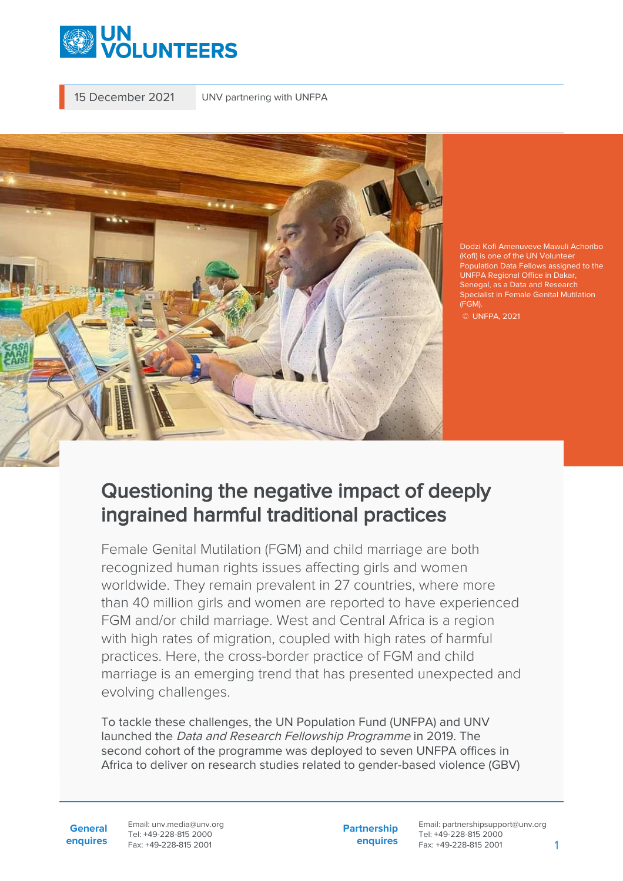

15 December 2021 UNV partnering with UNFPA



Dodzi Kofi Amenuveve Mawuli Achoribo (Kofi) is one of the UN Volunteer Population Data Fellows assigned to the UNFPA Regional Office in Dakar, Senegal, as a Data and Research Specialist in Female Genital Mutilation (FGM).

## Questioning the negative impact of deeply ingrained harmful traditional practices

Female Genital Mutilation (FGM) and child marriage are both recognized human rights issues affecting girls and women worldwide. They remain prevalent in 27 countries, where more than 40 million girls and women are reported to have experienced FGM and/or child marriage. West and Central Africa is a region with high rates of migration, coupled with high rates of harmful practices. Here, the cross-border practice of FGM and child marriage is an emerging trend that has presented unexpected and evolving challenges.

To tackle these challenges, the UN Population Fund (UNFPA) and UNV launched the Data and Research Fellowship Programme in 2019. The second cohort of the programme was deployed to seven UNFPA offices in Africa to deliver on research studies related to gender-based violence (GBV)

**General enquires** Email: unv.media@unv.org Tel: +49-228-815 2000 Fax: +49-228-815 2001

**Partnership enquires**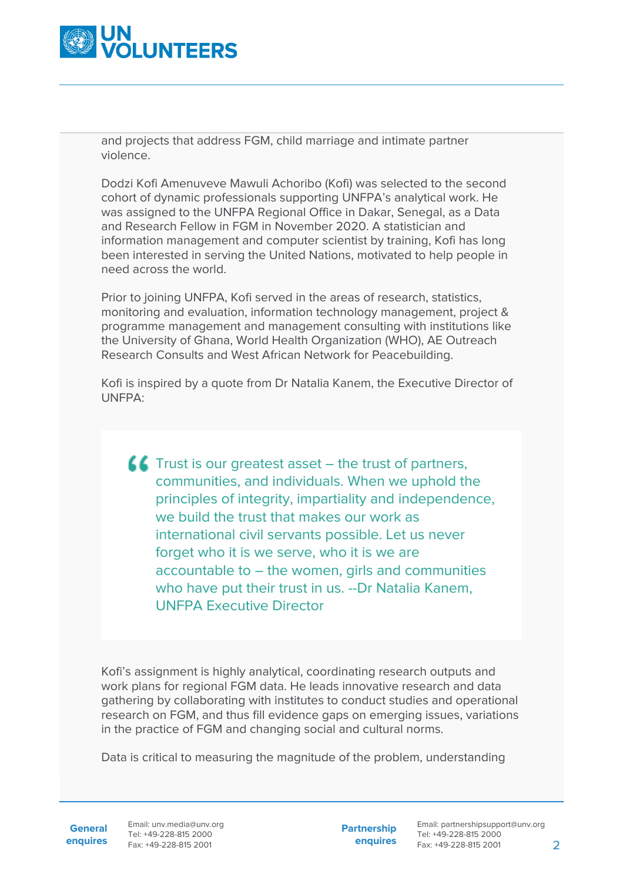

and projects that address FGM, child marriage and intimate partner violence.

Dodzi Kofi Amenuveve Mawuli Achoribo (Kofi) was selected to the second cohort of dynamic professionals supporting UNFPA's analytical work. He was assigned to the UNFPA Regional Office in Dakar, Senegal, as a Data and Research Fellow in FGM in November 2020. A statistician and information management and computer scientist by training, Kofi has long been interested in serving the United Nations, motivated to help people in need across the world.

Prior to joining UNFPA, Kofi served in the areas of research, statistics, monitoring and evaluation, information technology management, project & programme management and management consulting with institutions like the University of Ghana, World Health Organization (WHO), AE Outreach Research Consults and West African Network for Peacebuilding.

Kofi is inspired by a quote from Dr Natalia Kanem, the Executive Director of UNFPA:

 $\blacksquare$  Trust is our greatest asset – the trust of partners, communities, and individuals. When we uphold the principles of integrity, impartiality and independence, we build the trust that makes our work as international civil servants possible. Let us never forget who it is we serve, who it is we are accountable to – the women, girls and communities who have put their trust in us. --Dr Natalia Kanem, UNFPA Executive Director

Kofi's assignment is highly analytical, coordinating research outputs and work plans for regional FGM data. He leads innovative research and data gathering by collaborating with institutes to conduct studies and operational research on FGM, and thus fill evidence gaps on emerging issues, variations in the practice of FGM and changing social and cultural norms.

Data is critical to measuring the magnitude of the problem, understanding

**General**

**enquires** Tel: +49-228-815 2000 Fax: +49-228-815 2001 Email: unv.media@unv.org<br>Tel: +49-228-815 2000

**Partnership enquires**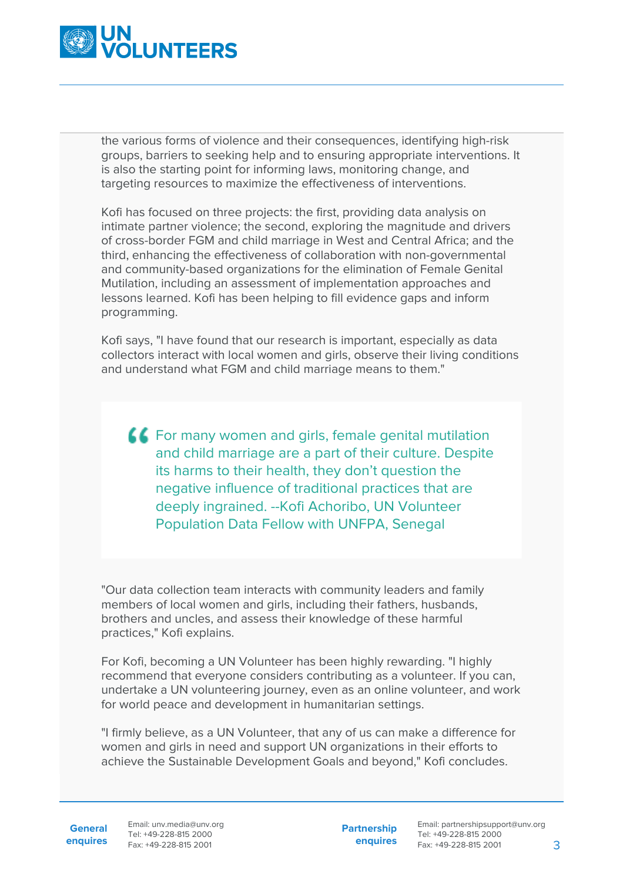

the various forms of violence and their consequences, identifying high-risk groups, barriers to seeking help and to ensuring appropriate interventions. It is also the starting point for informing laws, monitoring change, and targeting resources to maximize the effectiveness of interventions.

Kofi has focused on three projects: the first, providing data analysis on intimate partner violence; the second, exploring the magnitude and drivers of cross-border FGM and child marriage in West and Central Africa; and the third, enhancing the effectiveness of collaboration with non-governmental and community-based organizations for the elimination of Female Genital Mutilation, including an assessment of implementation approaches and lessons learned. Kofi has been helping to fill evidence gaps and inform programming.

Kofi says, "I have found that our research is important, especially as data collectors interact with local women and girls, observe their living conditions and understand what FGM and child marriage means to them."

**AC** For many women and girls, female genital mutilation and child marriage are a part of their culture. Despite its harms to their health, they don't question the negative influence of traditional practices that are deeply ingrained. --Kofi Achoribo, UN Volunteer Population Data Fellow with UNFPA, Senegal

"Our data collection team interacts with community leaders and family members of local women and girls, including their fathers, husbands, brothers and uncles, and assess their knowledge of these harmful practices," Kofi explains.

For Kofi, becoming a UN Volunteer has been highly rewarding. "I highly recommend that everyone considers contributing as a volunteer. If you can, undertake a UN volunteering journey, even as an online volunteer, and work for world peace and development in humanitarian settings.

"I firmly believe, as a UN Volunteer, that any of us can make a difference for women and girls in need and support UN organizations in their efforts to achieve the Sustainable Development Goals and beyond," Kofi concludes.

General Email: unv.media@unv.org **enquires** Fax: +49-228-815 2001 Tel: +49-228-815 2000

**Partnership enquires**